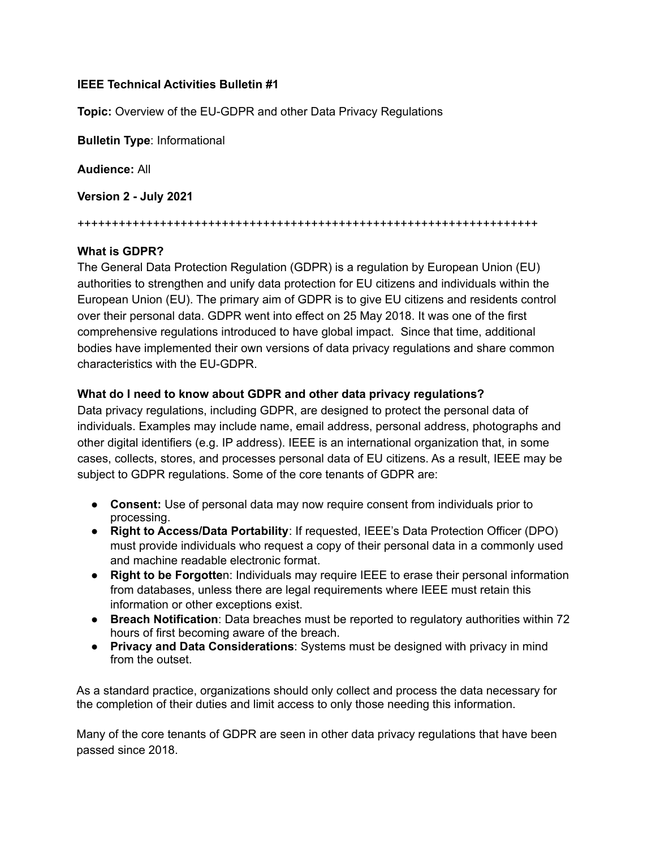## **IEEE Technical Activities Bulletin #1**

**Topic:** Overview of the EU-GDPR and other Data Privacy Regulations

**Bulletin Type**: Informational

**Audience:** All

**Version 2 - July 2021**

+++++++++++++++++++++++++++++++++++++++++++++++++++++++++++++++++++

## **What is GDPR?**

The General Data Protection Regulation (GDPR) is a regulation by European Union (EU) authorities to strengthen and unify data protection for EU citizens and individuals within the European Union (EU). The primary aim of GDPR is to give EU citizens and residents control over their personal data. GDPR went into effect on 25 May 2018. It was one of the first comprehensive regulations introduced to have global impact. Since that time, additional bodies have implemented their own versions of data privacy regulations and share common characteristics with the EU-GDPR.

## **What do I need to know about GDPR and other data privacy regulations?**

Data privacy regulations, including GDPR, are designed to protect the personal data of individuals. Examples may include name, email address, personal address, photographs and other digital identifiers (e.g. IP address). IEEE is an international organization that, in some cases, collects, stores, and processes personal data of EU citizens. As a result, IEEE may be subject to GDPR regulations. Some of the core tenants of GDPR are:

- **Consent:** Use of personal data may now require consent from individuals prior to processing.
- **Right to Access/Data Portability**: If requested, IEEE's Data Protection Officer (DPO) must provide individuals who request a copy of their personal data in a commonly used and machine readable electronic format.
- **Right to be Forgotte**n: Individuals may require IEEE to erase their personal information from databases, unless there are legal requirements where IEEE must retain this information or other exceptions exist.
- **Breach Notification**: Data breaches must be reported to regulatory authorities within 72 hours of first becoming aware of the breach.
- **Privacy and Data Considerations**: Systems must be designed with privacy in mind from the outset.

As a standard practice, organizations should only collect and process the data necessary for the completion of their duties and limit access to only those needing this information.

Many of the core tenants of GDPR are seen in other data privacy regulations that have been passed since 2018.